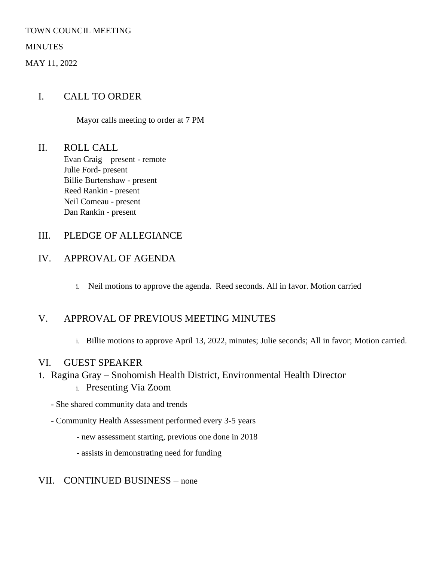#### TOWN COUNCIL MEETING

**MINUTES** 

MAY 11, 2022

### I. CALL TO ORDER

Mayor calls meeting to order at 7 PM

II. ROLL CALL Evan Craig – present - remote Julie Ford- present Billie Burtenshaw - present Reed Rankin - present Neil Comeau - present Dan Rankin - present

### III. PLEDGE OF ALLEGIANCE

# IV. APPROVAL OF AGENDA

i. Neil motions to approve the agenda. Reed seconds. All in favor. Motion carried

# V. APPROVAL OF PREVIOUS MEETING MINUTES

i. Billie motions to approve April 13, 2022, minutes; Julie seconds; All in favor; Motion carried.

### VI. GUEST SPEAKER

- 1. Ragina Gray Snohomish Health District, Environmental Health Director
	- i. Presenting Via Zoom
	- She shared community data and trends
	- Community Health Assessment performed every 3-5 years
		- new assessment starting, previous one done in 2018
		- assists in demonstrating need for funding

### VII. CONTINUED BUSINESS – none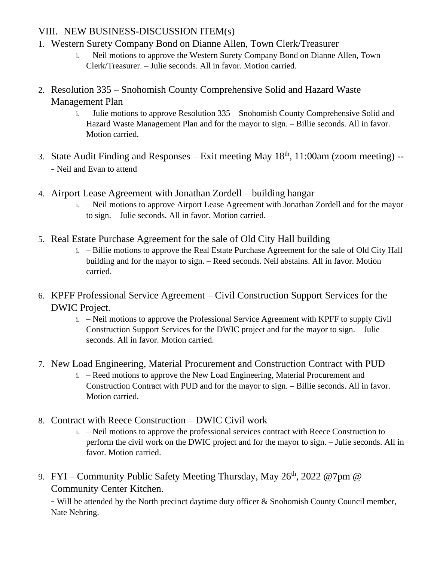# VIII. NEW BUSINESS-DISCUSSION ITEM(s)

- 1. Western Surety Company Bond on Dianne Allen, Town Clerk/Treasurer
	- i. Neil motions to approve the Western Surety Company Bond on Dianne Allen, Town Clerk/Treasurer. – Julie seconds. All in favor. Motion carried.
- 2. Resolution 335 Snohomish County Comprehensive Solid and Hazard Waste Management Plan
	- i. Julie motions to approve Resolution 335 Snohomish County Comprehensive Solid and Hazard Waste Management Plan and for the mayor to sign. – Billie seconds. All in favor. Motion carried.
- 3. State Audit Finding and Responses Exit meeting May  $18<sup>th</sup>$ , 11:00am (zoom meeting) --- Neil and Evan to attend
- 4. Airport Lease Agreement with Jonathan Zordell building hangar
	- i. Neil motions to approve Airport Lease Agreement with Jonathan Zordell and for the mayor to sign. – Julie seconds. All in favor. Motion carried.
- 5. Real Estate Purchase Agreement for the sale of Old City Hall building
	- i. Billie motions to approve the Real Estate Purchase Agreement for the sale of Old City Hall building and for the mayor to sign. – Reed seconds. Neil abstains. All in favor. Motion carried.
- 6. KPFF Professional Service Agreement Civil Construction Support Services for the DWIC Project.
	- i. Neil motions to approve the Professional Service Agreement with KPFF to supply Civil Construction Support Services for the DWIC project and for the mayor to sign. – Julie seconds. All in favor. Motion carried.
- 7. New Load Engineering, Material Procurement and Construction Contract with PUD
	- i. Reed motions to approve the New Load Engineering, Material Procurement and Construction Contract with PUD and for the mayor to sign. – Billie seconds. All in favor. Motion carried.
- 8. Contract with Reece Construction DWIC Civil work
	- i. Neil motions to approve the professional services contract with Reece Construction to perform the civil work on the DWIC project and for the mayor to sign. – Julie seconds. All in favor. Motion carried.
- 9. FYI Community Public Safety Meeting Thursday, May 26<sup>th</sup>, 2022 @7pm @ Community Center Kitchen.

- Will be attended by the North precinct daytime duty officer & Snohomish County Council member, Nate Nehring.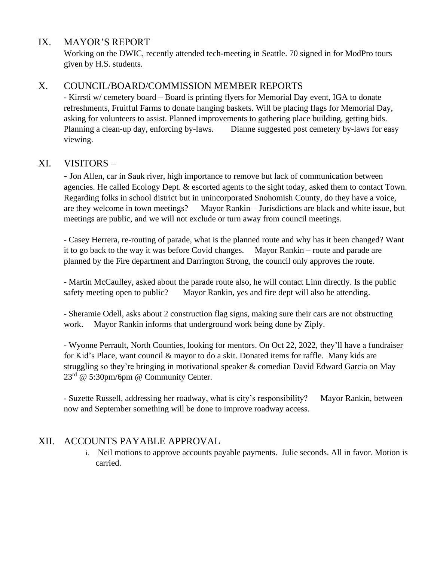### IX. MAYOR'S REPORT

Working on the DWIC, recently attended tech-meeting in Seattle. 70 signed in for ModPro tours given by H.S. students.

### X. COUNCIL/BOARD/COMMISSION MEMBER REPORTS

- Kirrsti w/ cemetery board – Board is printing flyers for Memorial Day event, IGA to donate refreshments, Fruitful Farms to donate hanging baskets. Will be placing flags for Memorial Day, asking for volunteers to assist. Planned improvements to gathering place building, getting bids. Planning a clean-up day, enforcing by-laws. Dianne suggested post cemetery by-laws for easy viewing.

#### XI. VISITORS –

- Jon Allen, car in Sauk river, high importance to remove but lack of communication between agencies. He called Ecology Dept. & escorted agents to the sight today, asked them to contact Town. Regarding folks in school district but in unincorporated Snohomish County, do they have a voice, are they welcome in town meetings? Mayor Rankin – Jurisdictions are black and white issue, but meetings are public, and we will not exclude or turn away from council meetings.

- Casey Herrera, re-routing of parade, what is the planned route and why has it been changed? Want it to go back to the way it was before Covid changes. Mayor Rankin – route and parade are planned by the Fire department and Darrington Strong, the council only approves the route.

- Martin McCaulley, asked about the parade route also, he will contact Linn directly. Is the public safety meeting open to public? Mayor Rankin, yes and fire dept will also be attending.

- Sheramie Odell, asks about 2 construction flag signs, making sure their cars are not obstructing work. Mayor Rankin informs that underground work being done by Ziply.

- Wyonne Perrault, North Counties, looking for mentors. On Oct 22, 2022, they'll have a fundraiser for Kid's Place, want council & mayor to do a skit. Donated items for raffle. Many kids are struggling so they're bringing in motivational speaker & comedian David Edward Garcia on May  $23^{\text{rd}}$  @ 5:30pm/6pm @ Community Center.

- Suzette Russell, addressing her roadway, what is city's responsibility? Mayor Rankin, between now and September something will be done to improve roadway access.

# XII. ACCOUNTS PAYABLE APPROVAL

i. Neil motions to approve accounts payable payments. Julie seconds. All in favor. Motion is carried.